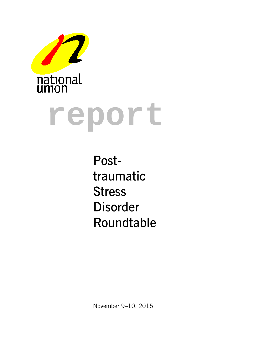



Posttraumatic Stress Disorder Roundtable

November 9–10, 2015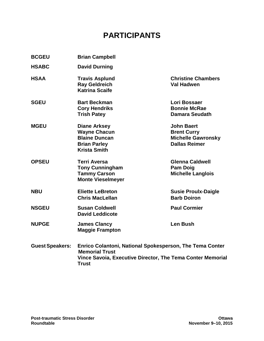# **PARTICIPANTS**

| <b>BCGEU</b>           | <b>Brian Campbell</b>                                                                                            |                                                                                              |
|------------------------|------------------------------------------------------------------------------------------------------------------|----------------------------------------------------------------------------------------------|
| <b>HSABC</b>           | <b>David Durning</b>                                                                                             |                                                                                              |
| <b>HSAA</b>            | <b>Travis Asplund</b><br><b>Ray Geldreich</b><br><b>Katrina Scaife</b>                                           | <b>Christine Chambers</b><br><b>Val Hadwen</b>                                               |
| <b>SGEU</b>            | <b>Bart Beckman</b><br><b>Cory Hendriks</b><br><b>Trish Patey</b>                                                | Lori Bossaer<br><b>Bonnie McRae</b><br><b>Damara Seudath</b>                                 |
| <b>MGEU</b>            | <b>Diane Arksey</b><br><b>Wayne Chacun</b><br><b>Blaine Duncan</b><br><b>Brian Parley</b><br><b>Krista Smith</b> | <b>John Baert</b><br><b>Brent Curry</b><br><b>Michelle Gawronsky</b><br><b>Dallas Reimer</b> |
| <b>OPSEU</b>           | <b>Terri Aversa</b><br><b>Tony Cunningham</b><br><b>Tammy Carson</b><br><b>Monte Vieselmeyer</b>                 | <b>Glenna Caldwell</b><br><b>Pam Doig</b><br><b>Michelle Langlois</b>                        |
| <b>NBU</b>             | <b>Eliette LeBreton</b><br><b>Chris MacLellan</b>                                                                | <b>Susie Proulx-Daigle</b><br><b>Barb Doiron</b>                                             |
| <b>NSGEU</b>           | <b>Susan Coldwell</b><br><b>David Leddicote</b>                                                                  | <b>Paul Cormier</b>                                                                          |
| <b>NUPGE</b>           | <b>James Clancy</b><br><b>Maggie Frampton</b>                                                                    | <b>Len Bush</b>                                                                              |
| <b>Guest Speakers:</b> | Enrico Colantoni, National Spokesperson, The Tema Conter<br>Mamarial Truct                                       |                                                                                              |

**GuestSpeakers: Enrico Colantoni, National Spokesperson, The Tema Conter Memorial Trust Vince Savoia, Executive Director, The Tema Conter Memorial Trust**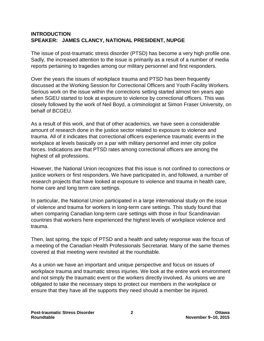### **INTRODUCTION SPEAKER: JAMES CLANCY, NATIONAL PRESIDENT, NUPGE**

The issue of post-traumatic stress disorder (PTSD) has become a very high profile one. Sadly, the increased attention to the issue is primarily as a result of a number of media reports pertaining to tragedies among our military personnel and first responders.

Over the years the issues of workplace trauma and PTSD has been frequently discussed at the Working Session for Correctional Officers and Youth Facility Workers. Serious work on the issue within the corrections setting started almost ten years ago when SGEU started to look at exposure to violence by correctional officers. This was closely followed by the work of Neil Boyd, a criminologist at Simon Fraser University, on behalf of BCGEU.

As a result of this work, and that of other academics, we have seen a considerable amount of research done in the justice sector related to exposure to violence and trauma. All of it indicates that correctional officers experience traumatic events in the workplace at levels basically on a par with military personnel and inner city police forces. Indications are that PTSD rates among correctional officers are among the highest of all professions.

However, the National Union recognizes that this issue is not confined to corrections or justice workers or first responders. We have participated in, and followed, a number of research projects that have looked at exposure to violence and trauma in health care, home care and long term care settings.

In particular, the National Union participated in a large international study on the issue of violence and trauma for workers in long-term care settings. This study found that when comparing Canadian long-term care settings with those in four Scandinavian countries that workers here experienced the highest levels of workplace violence and trauma.

Then, last spring, the topic of PTSD and a health and safety response was the focus of a meeting of the Canadian Health Professionals Secretariat. Many of the same themes covered at that meeting were revisited at the roundtable.

As a union we have an important and unique perspective and focus on issues of workplace trauma and traumatic stress injuries. We look at the entire work environment and not simply the traumatic event or the workers directly involved. As unions we are obligated to take the necessary steps to protect our members in the workplace or ensure that they have all the supports they need should a member be injured.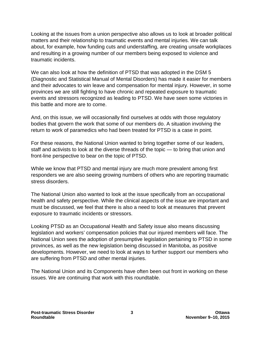Looking at the issues from a union perspective also allows us to look at broader political matters and their relationship to traumatic events and mental injuries. We can talk about, for example, how funding cuts and understaffing, are creating unsafe workplaces and resulting in a growing number of our members being exposed to violence and traumatic incidents.

We can also look at how the definition of PTSD that was adopted in the DSM 5 (Diagnostic and Statistical Manual of Mental Disorders) has made it easier for members and their advocates to win leave and compensation for mental injury. However, in some provinces we are still fighting to have chronic and repeated exposure to traumatic events and stressors recognized as leading to PTSD. We have seen some victories in this battle and more are to come.

And, on this issue, we will occasionally find ourselves at odds with those regulatory bodies that govern the work that some of our members do. A situation involving the return to work of paramedics who had been treated for PTSD is a case in point.

For these reasons, the National Union wanted to bring together some of our leaders, staff and activists to look at the diverse threads of the topic — to bring that union and front-line perspective to bear on the topic of PTSD.

While we know that PTSD and mental injury are much more prevalent among first responders we are also seeing growing numbers of others who are reporting traumatic stress disorders.

The National Union also wanted to look at the issue specifically from an occupational health and safety perspective. While the clinical aspects of the issue are important and must be discussed, we feel that there is also a need to look at measures that prevent exposure to traumatic incidents or stressors.

Looking PTSD as an Occupational Health and Safety issue also means discussing legislation and workers' compensation policies that our injured members will face. The National Union sees the adoption of presumptive legislation pertaining to PTSD in some provinces, as well as the new legislation being discussed in Manitoba, as positive developments. However, we need to look at ways to further support our members who are suffering from PTSD and other mental injuries.

The National Union and its Components have often been out front in working on these issues. We are continuing that work with this roundtable.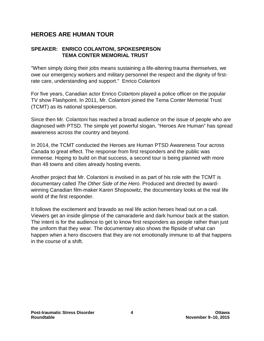### **HEROES ARE HUMAN TOUR**

### **SPEAKER: ENRICO COLANTONI, SPOKESPERSON TEMA CONTER MEMORIAL TRUST**

"When simply doing their jobs means sustaining a life-altering trauma themselves, we owe our emergency workers and military personnel the respect and the dignity of firstrate care, understanding and support." Enrico Colantoni

For five years, Canadian actor Enrico Colantoni played a police officer on the popular TV show Flashpoint. In 2011, Mr. Colantoni joined the Tema Conter Memorial Trust (TCMT) as its national spokesperson.

Since then Mr. Colantoni has reached a broad audience on the issue of people who are diagnosed with PTSD. The simple yet powerful slogan, "Heroes Are Human" has spread awareness across the country and beyond.

In 2014, the TCMT conducted the Heroes are Human PTSD Awareness Tour across Canada to great effect. The response from first responders and the public was immense. Hoping to build on that success, a second tour is being planned with more than 48 towns and cities already hosting events.

Another project that Mr. Colantoni is involved in as part of his role with the TCMT is documentary called *The Other Side of the Hero*. Produced and directed by awardwinning Canadian film-maker Karen Shopsowitz, the documentary looks at the real life world of the first responder.

It follows the excitement and bravado as real life action heroes head out on a call. Viewers get an inside glimpse of the camaraderie and dark humour back at the station. The intent is for the audience to get to know first responders as people rather than just the uniform that they wear. The documentary also shows the flipside of what can happen when a hero discovers that they are not emotionally immune to all that happens in the course of a shift.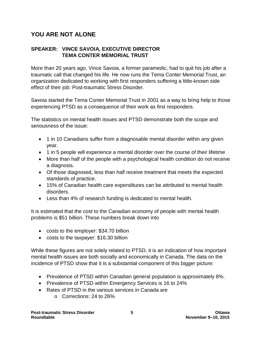### **YOU ARE NOT ALONE**

### **SPEAKER: VINCE SAVOIA, EXECUTIVE DIRECTOR TEMA CONTER MEMORIAL TRUST**

More than 20 years ago, Vince Savoia, a former paramedic, had to quit his job after a traumatic call that changed his life. He now runs the Tema Conter Memorial Trust, an organization dedicated to working with first responders suffering a little-known side effect of their job: Post-traumatic Stress Disorder.

Savoia started the Tema Conter Memorial Trust in 2001 as a way to bring help to those experiencing PTSD as a consequence of their work as first responders.

The statistics on mental health issues and PTSD demonstrate both the scope and seriousness of the issue:

- 1 in 10 Canadians suffer from a diagnosable mental disorder within any given year.
- 1 in 5 people will experience a mental disorder over the course of their lifetime
- More than half of the people with a psychological health condition do not receive a diagnosis.
- Of those diagnosed, less than half receive treatment that meets the expected standards of practice.
- 15% of Canadian health care expenditures can be attributed to mental health disorders.
- Less than 4% of research funding is dedicated to mental health.

It is estimated that the cost to the Canadian economy of people with mental health problems is \$51 billion. These numbers break down into

- costs to the employer: \$34.70 billion
- costs to the taxpayer: \$16.30 billion

While these figures are not solely related to PTSD, it is an indication of how important mental health issues are both socially and economically in Canada. The data on the incidence of PTSD show that it is a substantial component of this bigger picture:

- Prevalence of PTSD within Canadian general population is approximately 8%.
- Prevalence of PTSD within Emergency Services is 16 to 24%
- Rates of PTSD in the various services in Canada are o Corrections: 24 to 26%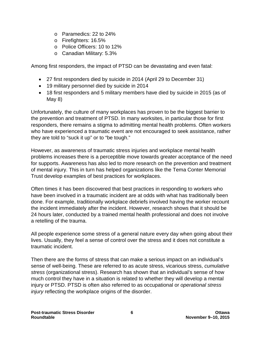- o Paramedics: 22 to 24%
- o Firefighters: 16.5%
- o Police Officers: 10 to 12%
- o Canadian Military: 5.3%

Among first responders, the impact of PTSD can be devastating and even fatal:

- 27 first responders died by suicide in 2014 (April 29 to December 31)
- 19 military personnel died by suicide in 2014
- 18 first responders and 5 military members have died by suicide in 2015 (as of May 8)

Unfortunately, the culture of many workplaces has proven to be the biggest barrier to the prevention and treatment of PTSD. In many worksites, in particular those for first responders, there remains a stigma to admitting mental health problems. Often workers who have experienced a traumatic event are not encouraged to seek assistance, rather they are told to "suck it up" or to "be tough."

However, as awareness of traumatic stress injuries and workplace mental health problems increases there is a perceptible move towards greater acceptance of the need for supports. Awareness has also led to more research on the prevention and treatment of mental injury. This in turn has helped organizations like the Tema Conter Memorial Trust develop examples of best practices for workplaces.

Often times it has been discovered that best practices in responding to workers who have been involved in a traumatic incident are at odds with what has traditionally been done. For example, traditionally workplace debriefs involved having the worker recount the incident immediately after the incident. However, research shows that it should be 24 hours later, conducted by a trained mental health professional and does not involve a retelling of the trauma.

All people experience some stress of a general nature every day when going about their lives. Usually, they feel a sense of control over the stress and it does not constitute a traumatic incident.

Then there are the forms of stress that can make a serious impact on an individual's sense of well-being. These are referred to as acute stress, vicarious stress, *cumulative stress* (organizational stress). Research has shown that an individual's sense of how much control they have in a situation is related to whether they will develop a mental injury or PTSD. PTSD is often also referred to as occupational or *operational stress injury* reflecting the workplace origins of the disorder.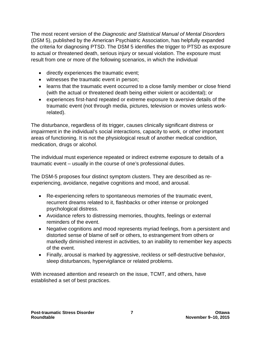The most recent version of the *Diagnostic and Statistical Manual of Mental Disorders* (DSM 5), published by the American Psychiatric Association, has helpfully expanded the criteria for diagnosing PTSD. The DSM 5 identifies the trigger to PTSD as exposure to actual or threatened death, serious injury or sexual violation. The exposure must result from one or more of the following scenarios, in which the individual

- directly experiences the traumatic event;
- witnesses the traumatic event in person;
- learns that the traumatic event occurred to a close family member or close friend (with the actual or threatened death being either violent or accidental); or
- experiences first-hand repeated or extreme exposure to aversive details of the traumatic event (not through media, pictures, television or movies unless workrelated).

The disturbance, regardless of its trigger, causes clinically significant distress or impairment in the individual's social interactions, capacity to work, or other important areas of functioning. It is not the physiological result of another medical condition, medication, drugs or alcohol.

The individual must experience repeated or indirect extreme exposure to details of a traumatic event – usually in the course of one's professional duties.

The DSM-5 proposes four distinct symptom clusters. They are described as reexperiencing, avoidance, negative cognitions and mood, and arousal.

- Re-experiencing refers to spontaneous memories of the traumatic event, recurrent dreams related to it, flashbacks or other intense or prolonged psychological distress.
- Avoidance refers to distressing memories, thoughts, feelings or external reminders of the event.
- Negative cognitions and mood represents myriad feelings, from a persistent and distorted sense of blame of self or others, to estrangement from others or markedly diminished interest in activities, to an inability to remember key aspects of the event.
- Finally, arousal is marked by aggressive, reckless or self-destructive behavior, sleep disturbances, hypervigilance or related problems.

With increased attention and research on the issue, TCMT, and others, have established a set of best practices.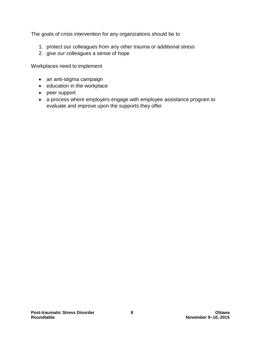The goals of crisis intervention for any organizations should be to

- 1. protect our colleagues from any other trauma or additional stress
- 2. give our colleagues a sense of hope

Workplaces need to implement

- an anti-stigma campaign
- education in the workplace
- peer support
- a process where employers engage with employee assistance program to evaluate and improve upon the supports they offer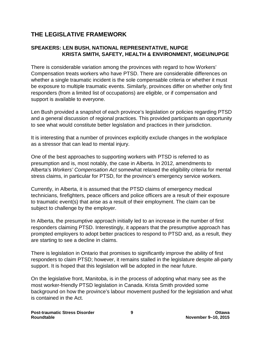## **THE LEGISLATIVE FRAMEWORK**

### **SPEAKERS: LEN BUSH, NATIONAL REPRESENTATIVE, NUPGE KRISTA SMITH, SAFETY, HEALTH & ENVIRONMENT, MGEU/NUPGE**

There is considerable variation among the provinces with regard to how Workers' Compensation treats workers who have PTSD. There are considerable differences on whether a single traumatic incident is the sole compensable criteria or whether it must be exposure to multiple traumatic events. Similarly, provinces differ on whether only first responders (from a limited list of occupations) are eligible, or if compensation and support is available to everyone.

Len Bush provided a snapshot of each province's legislation or policies regarding PTSD and a general discussion of regional practices. This provided participants an opportunity to see what would constitute better legislation and practices in their jurisdiction.

It is interesting that a number of provinces explicitly exclude changes in the workplace as a stressor that can lead to mental injury.

One of the best approaches to supporting workers with PTSD is referred to as presumption and is, most notably, the case in Alberta. In 2012, amendments to Alberta's *Workers' Compensation Act* somewhat relaxed the eligibility criteria for mental stress claims, in particular for PTSD, for the province's emergency service workers.

Currently, in Alberta, it is assumed that the PTSD claims of emergency medical technicians, firefighters, peace officers and police officers are a result of their exposure to traumatic event(s) that arise as a result of their employment. The claim can be subject to challenge by the employer.

In Alberta, the presumptive approach initially led to an increase in the number of first responders claiming PTSD. Interestingly, it appears that the presumptive approach has prompted employers to adopt better practices to respond to PTSD and, as a result, they are starting to see a decline in claims.

There is legislation in Ontario that promises to significantly improve the ability of first responders to claim PTSD; however, it remains stalled in the legislature despite all-party support. It is hoped that this legislation will be adopted in the near future.

On the legislative front, Manitoba, is in the process of adopting what many see as the most worker-friendly PTSD legislation in Canada. Krista Smith provided some background on how the province's labour movement pushed for the legislation and what is contained in the Act.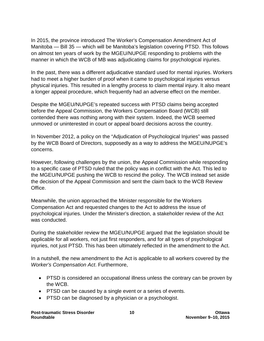In 2015, the province introduced The Worker's Compensation Amendment Act of Manitoba — Bill 35 — which will be Manitoba's legislation covering PTSD. This follows on almost ten years of work by the MGEU/NUPGE responding to problems with the manner in which the WCB of MB was adjudicating claims for psychological injuries.

In the past, there was a different adjudicative standard used for mental injuries. Workers had to meet a higher burden of proof when it came to psychological injuries versus physical injuries. This resulted in a lengthy process to claim mental injury. It also meant a longer appeal procedure, which frequently had an adverse effect on the member.

Despite the MGEU/NUPGE's repeated success with PTSD claims being accepted before the Appeal Commission, the Workers Compensation Board (WCB) still contended there was nothing wrong with their system. Indeed, the WCB seemed unmoved or uninterested in court or appeal board decisions across the country.

In November 2012, a policy on the "Adjudication of Psychological Injuries" was passed by the WCB Board of Directors, supposedly as a way to address the MGEU/NUPGE's concerns.

However, following challenges by the union, the Appeal Commission while responding to a specific case of PTSD ruled that the policy was in conflict with the Act. This led to the MGEU/NUPGE pushing the WCB to rescind the policy. The WCB instead set aside the decision of the Appeal Commission and sent the claim back to the WCB Review Office.

Meanwhile, the union approached the Minister responsible for the Workers Compensation Act and requested changes to the Act to address the issue of psychological injuries. Under the Minister's direction, a stakeholder review of the Act was conducted.

During the stakeholder review the MGEU/NUPGE argued that the legislation should be applicable for all workers, not just first responders, and for all types of psychological injuries, not just PTSD. This has been ultimately reflected in the amendment to the Act.

In a nutshell, the new amendment to the Act is applicable to all workers covered by the *Worker's Compensation Act*. Furthermore,

- PTSD is considered an occupational illness unless the contrary can be proven by the WCB.
- PTSD can be caused by a single event or a series of events.
- PTSD can be diagnosed by a physician or a psychologist.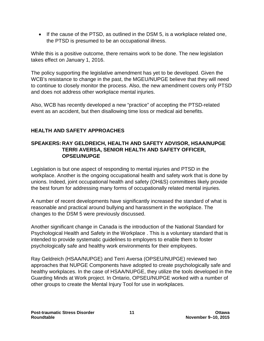• If the cause of the PTSD, as outlined in the DSM 5, is a workplace related one, the PTSD is presumed to be an occupational illness.

While this is a positive outcome, there remains work to be done. The new legislation takes effect on January 1, 2016.

The policy supporting the legislative amendment has yet to be developed. Given the WCB's resistance to change in the past, the MGEU/NUPGE believe that they will need to continue to closely monitor the process. Also, the new amendment covers only PTSD and does not address other workplace mental injuries.

Also, WCB has recently developed a new "practice" of accepting the PTSD-related event as an accident, but then disallowing time loss or medical aid benefits.

### **HEALTH AND SAFETY APPROACHES**

### **SPEAKERS: RAY GELDREICH, HEALTH AND SAFETY ADVISOR, HSAA/NUPGE TERRI AVERSA, SENIOR HEALTH AND SAFETY OFFICER, OPSEU/NUPGE**

Legislation is but one aspect of responding to mental injuries and PTSD in the workplace. Another is the ongoing occupational health and safety work that is done by unions. Indeed, joint occupational health and safety (OH&S) committees likely provide the best forum for addressing many forms of occupationally related mental injuries.

A number of recent developments have significantly increased the standard of what is reasonable and practical around bullying and harassment in the workplace. The changes to the DSM 5 were previously discussed.

Another significant change in Canada is the introduction of the National Standard for Psychological Health and Safety in the Workplace . This is a voluntary standard that is intended to provide systematic guidelines to employers to enable them to foster psychologically safe and healthy work environments for their employees.

Ray Geldreich (HSAA/NUPGE) and Terri Aversa (OPSEU/NUPGE) reviewed two approaches that NUPGE Components have adopted to create psychologically safe and healthy workplaces. In the case of HSAA/NUPGE, they utilize the tools developed in the Guarding Minds at Work project. In Ontario, OPSEU/NUPGE worked with a number of other groups to create the Mental Injury Tool for use in workplaces.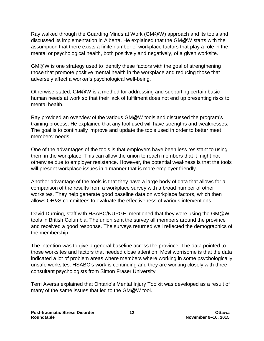Ray walked through the Guarding Minds at Work (GM@W) approach and its tools and discussed its implementation in Alberta. He explained that the GM@W starts with the assumption that there exists a finite number of workplace factors that play a role in the mental or psychological health, both positively and negatively, of a given worksite.

GM@W is one strategy used to identify these factors with the goal of strengthening those that promote positive mental health in the workplace and reducing those that adversely affect a worker's psychological well-being.

Otherwise stated, GM@W is a method for addressing and supporting certain basic human needs at work so that their lack of fulfilment does not end up presenting risks to mental health.

Ray provided an overview of the various GM@W tools and discussed the program's training process. He explained that any tool used will have strengths and weaknesses. The goal is to continually improve and update the tools used in order to better meet members' needs.

One of the advantages of the tools is that employers have been less resistant to using them in the workplace. This can allow the union to reach members that it might not otherwise due to employer resistance. However, the potential weakness is that the tools will present workplace issues in a manner that is more employer friendly.

Another advantage of the tools is that they have a large body of data that allows for a comparison of the results from a workplace survey with a broad number of other worksites. They help generate good baseline data on workplace factors, which then allows OH&S committees to evaluate the effectiveness of various interventions.

David Durning, staff with HSABC/NUPGE, mentioned that they were using the GM@W tools in British Columbia. The union sent the survey all members around the province and received a good response. The surveys returned well reflected the demographics of the membership.

The intention was to give a general baseline across the province. The data pointed to those worksites and factors that needed close attention. Most worrisome is that the data indicated a lot of problem areas where members where working in some psychologically unsafe worksites. HSABC's work is continuing and they are working closely with three consultant psychologists from Simon Fraser University.

Terri Aversa explained that Ontario's Mental Injury Toolkit was developed as a result of many of the same issues that led to the GM@W tool.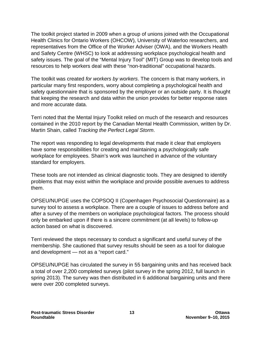The toolkit project started in 2009 when a group of unions joined with the Occupational Health Clinics for Ontario Workers (OHCOW), University of Waterloo researchers, and representatives from the Office of the Worker Adviser (OWA), and the Workers Health and Safety Centre (WHSC) to look at addressing workplace psychological health and safety issues. The goal of the "Mental Injury Tool" (MIT) Group was to develop tools and resources to help workers deal with these "non-traditional" occupational hazards.

The toolkit was created *for workers by workers*. The concern is that many workers, in particular many first responders, worry about completing a psychological health and safety questionnaire that is sponsored by the employer or an outside party. It is thought that keeping the research and data within the union provides for better response rates and more accurate data.

Terri noted that the Mental Injury Toolkit relied on much of the research and resources contained in the 2010 report by the Canadian Mental Health Commission, written by Dr. Martin Shain, called *Tracking the Perfect Legal Storm*.

The report was responding to legal developments that made it clear that employers have some responsibilities for creating and maintaining a psychologically safe workplace for employees. Shain's work was launched in advance of the voluntary standard for employers.

These tools are not intended as clinical diagnostic tools. They are designed to identify problems that may exist within the workplace and provide possible avenues to address them.

OPSEU/NUPGE uses the COPSOQ II (Copenhagen Psychosocial Questionnaire) as a survey tool to assess a workplace. There are a couple of issues to address before and after a survey of the members on workplace psychological factors. The process should only be embarked upon if there is a sincere commitment (at all levels) to follow-up action based on what is discovered.

Terri reviewed the steps necessary to conduct a significant and useful survey of the membership. She cautioned that survey results should be seen as a tool for dialogue and development — not as a "report card."

OPSEU/NUPGE has circulated the survey in 55 bargaining units and has received back a total of over 2,200 completed surveys (pilot survey in the spring 2012, full launch in spring 2013). The survey was then distributed in 6 additional bargaining units and there were over 200 completed surveys.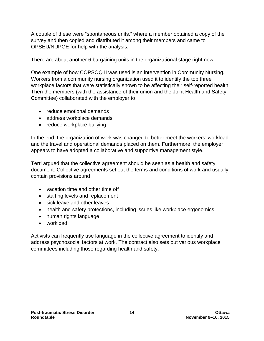A couple of these were "spontaneous units," where a member obtained a copy of the survey and then copied and distributed it among their members and came to OPSEU/NUPGE for help with the analysis.

There are about another 6 bargaining units in the organizational stage right now.

One example of how COPSOQ II was used is an intervention in Community Nursing. Workers from a community nursing organization used it to identify the top three workplace factors that were statistically shown to be affecting their self-reported health. Then the members (with the assistance of their union and the Joint Health and Safety Committee) collaborated with the employer to

- reduce emotional demands
- address workplace demands
- reduce workplace bullying

In the end, the organization of work was changed to better meet the workers' workload and the travel and operational demands placed on them. Furthermore, the employer appears to have adopted a collaborative and supportive management style.

Terri argued that the collective agreement should be seen as a health and safety document. Collective agreements set out the terms and conditions of work and usually contain provisions around

- vacation time and other time off
- staffing levels and replacement
- sick leave and other leaves
- health and safety protections, including issues like workplace ergonomics
- human rights language
- workload

Activists can frequently use language in the collective agreement to identify and address psychosocial factors at work. The contract also sets out various workplace committees including those regarding health and safety.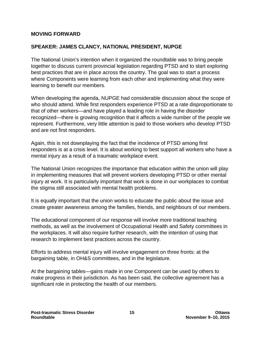#### **MOVING FORWARD**

### **SPEAKER: JAMES CLANCY, NATIONAL PRESIDENT, NUPGE**

The National Union's intention when it organized the roundtable was to bring people together to discuss current provincial legislation regarding PTSD and to start exploring best practices that are in place across the country. The goal was to start a process where Components were learning from each other and implementing what they were learning to benefit our members.

When developing the agenda, NUPGE had considerable discussion about the scope of who should attend. While first responders experience PTSD at a rate disproportionate to that of other workers—and have played a leading role in having the disorder recognized—there is growing recognition that it affects a wide number of the people we represent. Furthermore, very little attention is paid to those workers who develop PTSD and are not first responders.

Again, this is not downplaying the fact that the incidence of PTSD among first responders is at a crisis level. It is about working to best support all workers who have a mental injury as a result of a traumatic workplace event.

The National Union recognizes the importance that education within the union will play in implementing measures that will prevent workers developing PTSD or other mental injury at work. It is particularly important that work is done in our workplaces to combat the stigma still associated with mental health problems.

It is equally important that the union works to educate the public about the issue and create greater awareness among the families, friends, and neighbours of our members.

The educational component of our response will involve more traditional teaching methods, as well as the involvement of Occupational Health and Safety committees in the workplaces. It will also require further research, with the intention of using that research to implement best practices across the country.

Efforts to address mental injury will involve engagement on three fronts: at the bargaining table, in OH&S committees, and in the legislature.

At the bargaining tables—gains made in one Component can be used by others to make progress in their jurisdiction. As has been said, the collective agreement has a significant role in protecting the health of our members.